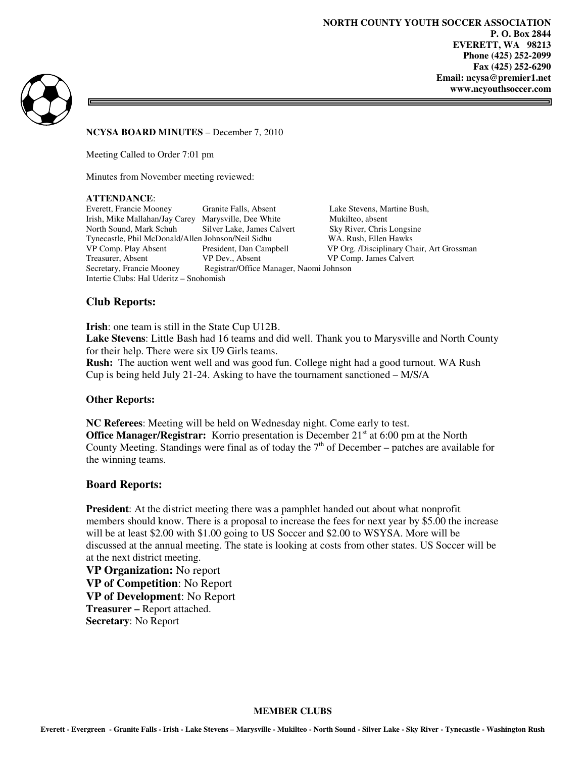I



**NCYSA BOARD MINUTES** – December 7, 2010

Meeting Called to Order 7:01 pm

Minutes from November meeting reviewed:

#### **ATTENDANCE**:

Everett, Francie Mooney Granite Falls, Absent Lake Stevens, Martine Bush, Irish, Mike Mallahan/Jay Carey Marysville, Dee White Mukilteo, absent North Sound, Mark Schuh Silver Lake, James Calvert Sky River, Chris Longsine Tynecastle, Phil McDonald/Allen Johnson/Neil Sidhu WA. Rush, Ellen Hawks VP Comp. Play Absent President, Dan Campbell VP Org. /Disciplinary Chair, Art Grossman Treasurer, Absent VP Dev., Absent VP Comp. James Calvert<br>
Secretary, Francie Mooney Registrar/Office Manager, Naomi Johnson Registrar/Office Manager, Naomi Johnson Intertie Clubs: Hal Uderitz – Snohomish

# **Club Reports:**

**Irish**: one team is still in the State Cup U12B. **Lake Stevens**: Little Bash had 16 teams and did well. Thank you to Marysville and North County for their help. There were six U9 Girls teams. **Rush:** The auction went well and was good fun. College night had a good turnout. WA Rush

Cup is being held July 21-24. Asking to have the tournament sanctioned – M/S/A

### **Other Reports:**

**NC Referees**: Meeting will be held on Wednesday night. Come early to test. **Office Manager/Registrar:** Korrio presentation is December 21<sup>st</sup> at 6:00 pm at the North County Meeting. Standings were final as of today the  $7<sup>th</sup>$  of December – patches are available for the winning teams.

## **Board Reports:**

**President**: At the district meeting there was a pamphlet handed out about what nonprofit members should know. There is a proposal to increase the fees for next year by \$5.00 the increase will be at least \$2.00 with \$1.00 going to US Soccer and \$2.00 to WSYSA. More will be discussed at the annual meeting. The state is looking at costs from other states. US Soccer will be at the next district meeting.

**VP Organization:** No report **VP of Competition**: No Report **VP of Development**: No Report **Treasurer –** Report attached. **Secretary**: No Report

#### **MEMBER CLUBS**